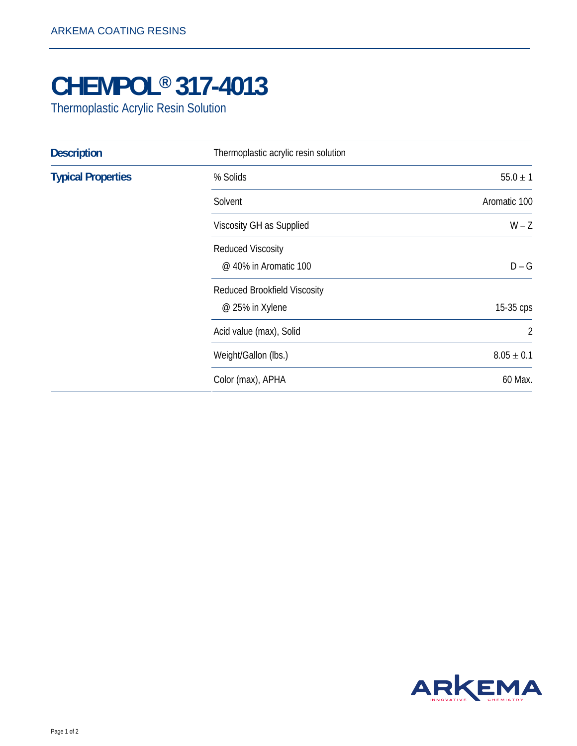## **CHEMPOL® 317-4013**

Thermoplastic Acrylic Resin Solution

| <b>Description</b>        | Thermoplastic acrylic resin solution                   |                |
|---------------------------|--------------------------------------------------------|----------------|
| <b>Typical Properties</b> | % Solids                                               | $55.0 \pm 1$   |
|                           | Solvent                                                | Aromatic 100   |
|                           | Viscosity GH as Supplied                               | $W - Z$        |
|                           | <b>Reduced Viscosity</b><br>@ 40% in Aromatic 100      | $D - G$        |
|                           | <b>Reduced Brookfield Viscosity</b><br>@ 25% in Xylene | 15-35 cps      |
|                           | Acid value (max), Solid                                | $\overline{2}$ |
|                           | Weight/Gallon (lbs.)                                   | $8.05 \pm 0.1$ |
|                           | Color (max), APHA                                      | 60 Max.        |